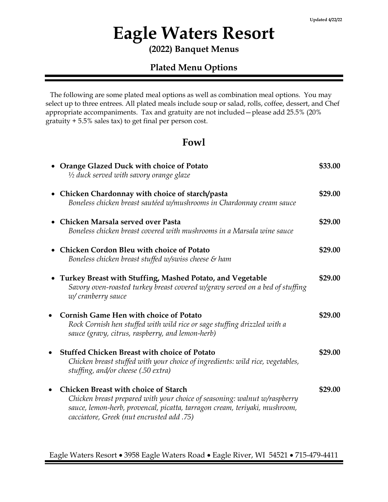# **Eagle Waters Resort**

**(2022) Banquet Menus**

### **Plated Menu Options**

 The following are some plated meal options as well as combination meal options. You may select up to three entrees. All plated meals include soup or salad, rolls, coffee, dessert, and Chef appropriate accompaniments. Tax and gratuity are not included—please add 25.5% (20% gratuity + 5.5% sales tax) to get final per person cost.

#### **Fowl**

| • Orange Glazed Duck with choice of Potato<br>1/2 duck served with savory orange glaze                                                                                                                                                              | \$33.00 |
|-----------------------------------------------------------------------------------------------------------------------------------------------------------------------------------------------------------------------------------------------------|---------|
| • Chicken Chardonnay with choice of starch/pasta<br>Boneless chicken breast sautéed w/mushrooms in Chardonnay cream sauce                                                                                                                           | \$29.00 |
| • Chicken Marsala served over Pasta<br>Boneless chicken breast covered with mushrooms in a Marsala wine sauce                                                                                                                                       | \$29.00 |
| <b>Chicken Cordon Bleu with choice of Potato</b><br>Boneless chicken breast stuffed w/swiss cheese & ham                                                                                                                                            | \$29.00 |
| • Turkey Breast with Stuffing, Mashed Potato, and Vegetable<br>Savory oven-roasted turkey breast covered w/gravy served on a bed of stuffing<br>w/ cranberry sauce                                                                                  | \$29.00 |
| <b>Cornish Game Hen with choice of Potato</b><br>Rock Cornish hen stuffed with wild rice or sage stuffing drizzled with a<br>sauce (gravy, citrus, raspberry, and lemon-herb)                                                                       | \$29.00 |
| <b>Stuffed Chicken Breast with choice of Potato</b><br>Chicken breast stuffed with your choice of ingredients: wild rice, vegetables,<br>stuffing, and/or cheese (.50 extra)                                                                        | \$29.00 |
| <b>Chicken Breast with choice of Starch</b><br>Chicken breast prepared with your choice of seasoning: walnut w/raspberry<br>sauce, lemon-herb, provencal, picatta, tarragon cream, teriyaki, mushroom,<br>cacciatore, Greek (nut encrusted add .75) | \$29.00 |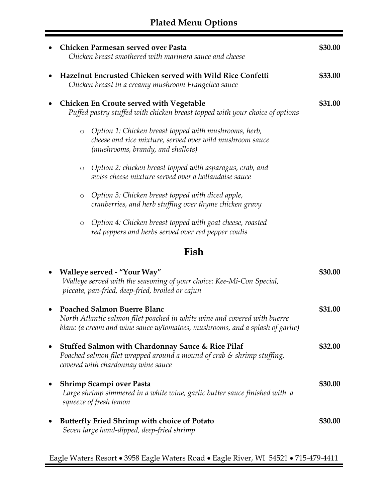| Chicken Parmesan served over Pasta<br>Chicken breast smothered with marinara sauce and cheese                                                                                                   | \$30.00 |
|-------------------------------------------------------------------------------------------------------------------------------------------------------------------------------------------------|---------|
| Hazelnut Encrusted Chicken served with Wild Rice Confetti<br>Chicken breast in a creamy mushroom Frangelica sauce                                                                               | \$33.00 |
| <b>Chicken En Croute served with Vegetable</b><br>Puffed pastry stuffed with chicken breast topped with your choice of options                                                                  | \$31.00 |
| Option 1: Chicken breast topped with mushrooms, herb,<br>$\circ$<br>cheese and rice mixture, served over wild mushroom sauce<br>(mushrooms, brandy, and shallots)                               |         |
| Option 2: chicken breast topped with asparagus, crab, and<br>$\circ$<br>swiss cheese mixture served over a hollandaise sauce                                                                    |         |
| Option 3: Chicken breast topped with diced apple,<br>$\circ$<br>cranberries, and herb stuffing over thyme chicken gravy                                                                         |         |
| Option 4: Chicken breast topped with goat cheese, roasted<br>$\circ$<br>red peppers and herbs served over red pepper coulis                                                                     |         |
| Fish                                                                                                                                                                                            |         |
| Walleye served - "Your Way"<br>Walleye served with the seasoning of your choice: Kee-Mi-Con Special,<br>piccata, pan-fried, deep-fried, broiled or cajun                                        | \$30.00 |
| <b>Poached Salmon Buerre Blanc</b><br>North Atlantic salmon filet poached in white wine and covered with buerre<br>blanc (a cream and wine sauce w/tomatoes, mushrooms, and a splash of garlic) | \$31.00 |
| Stuffed Salmon with Chardonnay Sauce & Rice Pilaf<br>Poached salmon filet wrapped around a mound of crab $\mathcal S$ shrimp stuffing,<br>covered with chardonnay wine sauce                    | \$32.00 |
| Shrimp Scampi over Pasta<br>Large shrimp simmered in a white wine, garlic butter sauce finished with a<br>squeeze of fresh lemon                                                                | \$30.00 |
| <b>Butterfly Fried Shrimp with choice of Potato</b><br>Seven large hand-dipped, deep-fried shrimp                                                                                               | \$30.00 |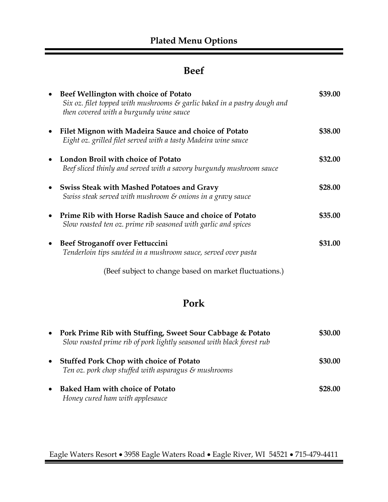## **Beef**

| $\bullet$ | Beef Wellington with choice of Potato<br>Six oz. filet topped with mushrooms $\mathcal{E}$ garlic baked in a pastry dough and<br>then covered with a burgundy wine sauce | \$39.00 |
|-----------|--------------------------------------------------------------------------------------------------------------------------------------------------------------------------|---------|
| $\bullet$ | Filet Mignon with Madeira Sauce and choice of Potato<br>Eight oz. grilled filet served with a tasty Madeira wine sauce                                                   | \$38.00 |
| $\bullet$ | London Broil with choice of Potato<br>Beef sliced thinly and served with a savory burgundy mushroom sauce                                                                | \$32.00 |
| $\bullet$ | <b>Swiss Steak with Mashed Potatoes and Gravy</b><br>Swiss steak served with mushroom & onions in a gravy sauce                                                          | \$28.00 |
| $\bullet$ | Prime Rib with Horse Radish Sauce and choice of Potato<br>Slow roasted ten oz. prime rib seasoned with garlic and spices                                                 | \$35.00 |
| $\bullet$ | Beef Stroganoff over Fettuccini<br>Tenderloin tips sautéed in a mushroom sauce, served over pasta                                                                        | \$31.00 |
|           | (Beef subject to change based on market fluctuations.)                                                                                                                   |         |

# **Pork**

| $\bullet$ | Pork Prime Rib with Stuffing, Sweet Sour Cabbage & Potato<br>Slow roasted prime rib of pork lightly seasoned with black forest rub | \$30.00 |
|-----------|------------------------------------------------------------------------------------------------------------------------------------|---------|
| $\bullet$ | <b>Stuffed Pork Chop with choice of Potato</b><br>Ten oz. pork chop stuffed with asparagus $\mathcal S$ mushrooms                  | \$30.00 |
| $\bullet$ | <b>Baked Ham with choice of Potato</b><br>Honey cured ham with applesauce                                                          | \$28.00 |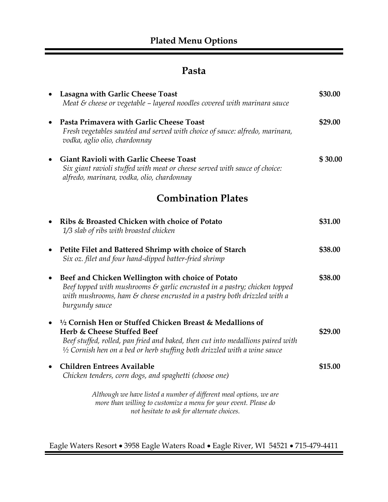# **Pasta**

|           | Lasagna with Garlic Cheese Toast<br>Meat $\varepsilon$ cheese or vegetable $-$ layered noodles covered with marinara sauce                                                                                                                                        | \$30.00 |
|-----------|-------------------------------------------------------------------------------------------------------------------------------------------------------------------------------------------------------------------------------------------------------------------|---------|
|           | Pasta Primavera with Garlic Cheese Toast<br>Fresh vegetables sautéed and served with choice of sauce: alfredo, marinara,<br>vodka, aglio olio, chardonnay                                                                                                         | \$29.00 |
|           | <b>Giant Ravioli with Garlic Cheese Toast</b><br>Six giant ravioli stuffed with meat or cheese served with sauce of choice:<br>alfredo, marinara, vodka, olio, chardonnay                                                                                         | \$30.00 |
|           | <b>Combination Plates</b>                                                                                                                                                                                                                                         |         |
| $\bullet$ | Ribs & Broasted Chicken with choice of Potato<br>1/3 slab of ribs with broasted chicken                                                                                                                                                                           | \$31.00 |
| $\bullet$ | Petite Filet and Battered Shrimp with choice of Starch<br>Six oz. filet and four hand-dipped batter-fried shrimp                                                                                                                                                  | \$38.00 |
| $\bullet$ | Beef and Chicken Wellington with choice of Potato<br>Beef topped with mushrooms $\varepsilon$ garlic encrusted in a pastry; chicken topped<br>with mushrooms, ham & cheese encrusted in a pastry both drizzled with a<br>burgundy sauce                           | \$38.00 |
|           | 1/2 Cornish Hen or Stuffed Chicken Breast & Medallions of<br>Herb & Cheese Stuffed Beef<br>Beef stuffed, rolled, pan fried and baked, then cut into medallions paired with<br>$\frac{1}{2}$ Cornish hen on a bed or herb stuffing both drizzled with a wine sauce | \$29.00 |
|           | <b>Children Entrees Available</b><br>Chicken tenders, corn dogs, and spaghetti (choose one)                                                                                                                                                                       | \$15.00 |
|           | Although we have listed a number of different meal options, we are<br>more than willing to customize a menu for your event. Please do<br>not hesitate to ask for alternate choices.                                                                               |         |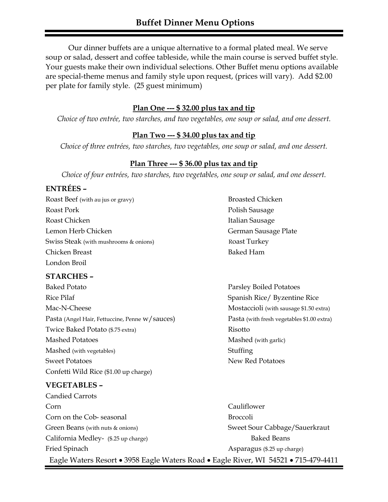Our dinner buffets are a unique alternative to a formal plated meal. We serve soup or salad, dessert and coffee tableside, while the main course is served buffet style. Your guests make their own individual selections. Other Buffet menu options available are special-theme menus and family style upon request, (prices will vary). Add \$2.00 per plate for family style. (25 guest minimum)

#### **Plan One --- \$ 32.00 plus tax and tip**

*Choice of two entrée, two starches, and two vegetables, one soup or salad, and one dessert.*

#### **Plan Two --- \$ 34.00 plus tax and tip**

*Choice of three entrées, two starches, two vegetables, one soup or salad, and one dessert.* 

#### **Plan Three --- \$ 36.00 plus tax and tip**

*Choice of four entrées, two starches, two vegetables, one soup or salad, and one dessert.* 

#### **ENTRÉES –**

Roast Beef (with au jus or gravy) Broasted Chicken Roast Pork **Polish Sausage Roast Pork Polish Sausage** Roast Chicken **Italian Sausage** Lemon Herb Chicken German Sausage Plate Swiss Steak (with mushrooms & onions) Roast Turkey Chicken Breast **Baked Ham** London Broil

#### **STARCHES –**

Baked Potato **Parsley Boiled Potatoes** Parsley Boiled Potatoes Rice Pilaf Spanish Rice/ Byzentine Rice Mac-N-Cheese Mostaccioli (with sausage \$1.50 extra) Pasta (Angel Hair, Fettuccine, Penne w/sauces) Pasta (with fresh vegetables \$1.00 extra) Twice Baked Potato (\$.75 extra) Risotto Mashed Potatoes Mashed (with garlic) Mashed (with vegetables) Stuffing Sweet Potatoes New Red Potatoes Confetti Wild Rice (\$1.00 up charge)

#### **VEGETABLES –**

Candied Carrots Corn Cauliflower Corn on the Cob- seasonal Broccoli Green Beans (with nuts & onions) Sweet Sour Cabbage/Sauerkraut California Medley- (\$.25 up charge) Baked Beans Fried Spinach **Asparagus** (\$.25 up charge) Eagle Waters Resort • 3958 Eagle Waters Road • Eagle River, WI 54521 • 715-479-4411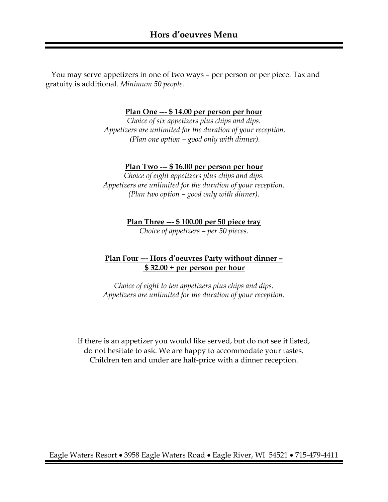You may serve appetizers in one of two ways – per person or per piece. Tax and gratuity is additional. *Minimum 50 people. .*

**Plan One --- \$ 14.00 per person per hour**

*Choice of six appetizers plus chips and dips. Appetizers are unlimited for the duration of your reception. (Plan one option – good only with dinner).* 

#### **Plan Two --- \$ 16.00 per person per hour**

*Choice of eight appetizers plus chips and dips. Appetizers are unlimited for the duration of your reception. (Plan two option – good only with dinner).* 

**Plan Three --- \$ 100.00 per 50 piece tray**

*Choice of appetizers – per 50 pieces.*

#### **Plan Four --- Hors d'oeuvres Party without dinner – \$ 32.00 + per person per hour**

*Choice of eight to ten appetizers plus chips and dips. Appetizers are unlimited for the duration of your reception.*

If there is an appetizer you would like served, but do not see it listed, do not hesitate to ask. We are happy to accommodate your tastes. Children ten and under are half-price with a dinner reception.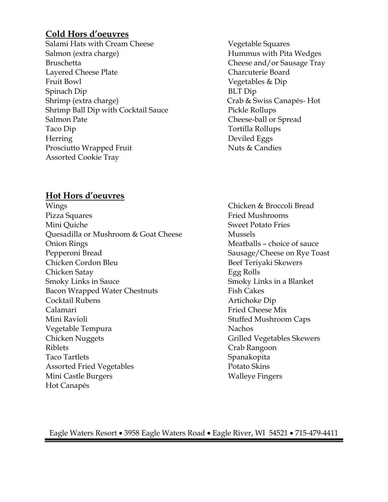#### **Cold Hors d'oeuvres**

Salami Hats with Cream Cheese Vegetable Squares Salmon (extra charge) Salmon (extra charge) Salmon (extra charge) Hummus with Pita Wedges Bruschetta Cheese and/or Sausage Tray Layered Cheese Plate Charcuterie Board Fruit Bowl Vegetables & Dip Spinach Dip BLT Dip Shrimp (extra charge) Crab & Swiss Canapés- Hot Shrimp Ball Dip with Cocktail Sauce Pickle Rollups Salmon Pate **Cheese-ball or Spread** Taco Dip Tortilla Rollups Herring Deviled Eggs Prosciutto Wrapped Fruit Nuts & Candies Assorted Cookie Tray

#### **Hot Hors d'oeuvres**

- Wings Chicken & Broccoli Bread Pizza Squares Fried Mushrooms Mini Quiche  $\sim$  Sweet Potato Fries Quesadilla or Mushroom & Goat Cheese Mussels Onion Rings Meatballs – choice of sauce Pepperoni Bread Sausage/Cheese on Rye Toast Chicken Cordon Bleu Beef Teriyaki Skewers Chicken Satay Egg Rolls Smoky Links in Sauce Smoky Links in a Blanket Bacon Wrapped Water Chestnuts Fish Cakes Cocktail Rubens **Artichoke Dip** Calamari **Fried Cheese Mix** Mini Ravioli **Mini Ravioli** Stuffed Mushroom Caps Vegetable Tempura Nachos Chicken Nuggets Grilled Vegetables Skewers Riblets Crab Rangoon Taco Tartlets Spanakopita Assorted Fried Vegetables Potato Skins Mini Castle Burgers Walleye Fingers Hot Canapés
- 
-